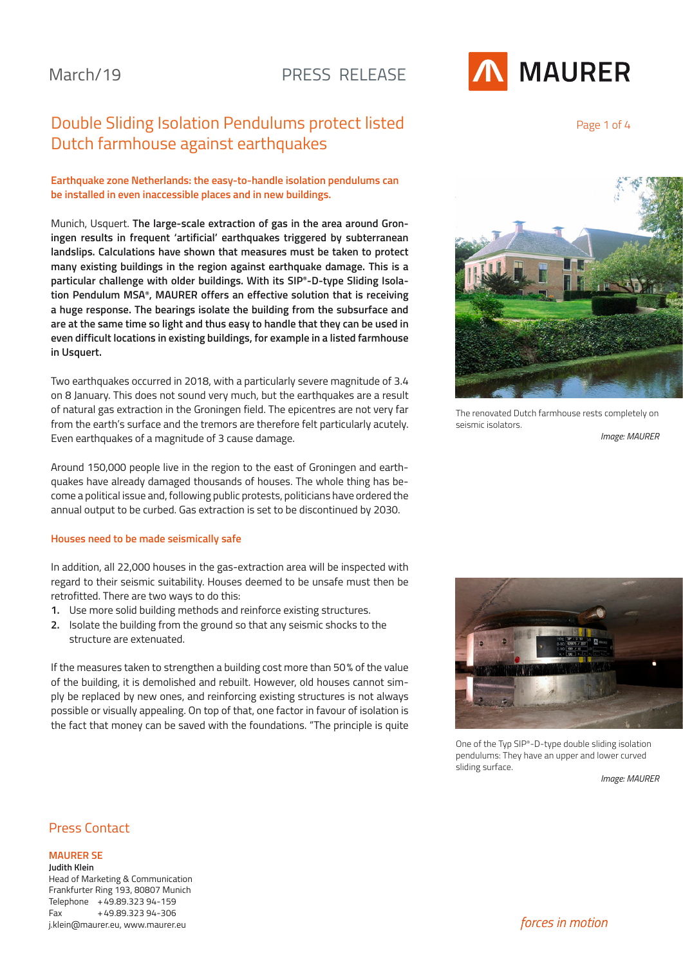# Double Sliding Isolation Pendulums protect listed Dutch farmhouse against earthquakes

### **Earthquake zone Netherlands: the easy-to-handle isolation pendulums can be installed in even inaccessible places and in new buildings.**

Munich, Usquert. **The large-scale extraction of gas in the area around Groningen results in frequent 'artificial' earthquakes triggered by subterranean landslips. Calculations have shown that measures must be taken to protect many existing buildings in the region against earthquake damage. This is a particular challenge with older buildings. With its SIP®-D-type Sliding Isolation Pendulum MSA®, MAURER offers an effective solution that is receiving a huge response. The bearings isolate the building from the subsurface and are at the same time so light and thus easy to handle that they can be used in even difficult locations in existing buildings, for example in a listed farmhouse in Usquert.**

Two earthquakes occurred in 2018, with a particularly severe magnitude of 3.4 on 8 January. This does not sound very much, but the earthquakes are a result of natural gas extraction in the Groningen field. The epicentres are not very far from the earth's surface and the tremors are therefore felt particularly acutely. Even earthquakes of a magnitude of 3 cause damage.

Around 150,000 people live in the region to the east of Groningen and earthquakes have already damaged thousands of houses. The whole thing has become a political issue and, following public protests, politicians have ordered the annual output to be curbed. Gas extraction is set to be discontinued by 2030.

#### **Houses need to be made seismically safe**

In addition, all 22,000 houses in the gas-extraction area will be inspected with regard to their seismic suitability. Houses deemed to be unsafe must then be retrofitted. There are two ways to do this:

- **1.** Use more solid building methods and reinforce existing structures.
- **2.** Isolate the building from the ground so that any seismic shocks to the structure are extenuated.

If the measures taken to strengthen a building cost more than 50% of the value of the building, it is demolished and rebuilt. However, old houses cannot simply be replaced by new ones, and reinforcing existing structures is not always possible or visually appealing. On top of that, one factor in favour of isolation is the fact that money can be saved with the foundations. "The principle is quite



Page 1 of 4



The renovated Dutch farmhouse rests completely on seismic isolators.

*Image: MAURER*



One of the Typ SIP®-D-type double sliding isolation pendulums: They have an upper and lower curved sliding surface.

*Image: MAURER*

# Press Contact

**MAURER SE**

**Judith Klein** Head of Marketing & Communication Frankfurter Ring 193, 80807 Munich Telephone +49.89.323 94-159 Fax +49.89.323 94-306 j.klein@maurer.eu, www.maurer.eu

*forces in motion*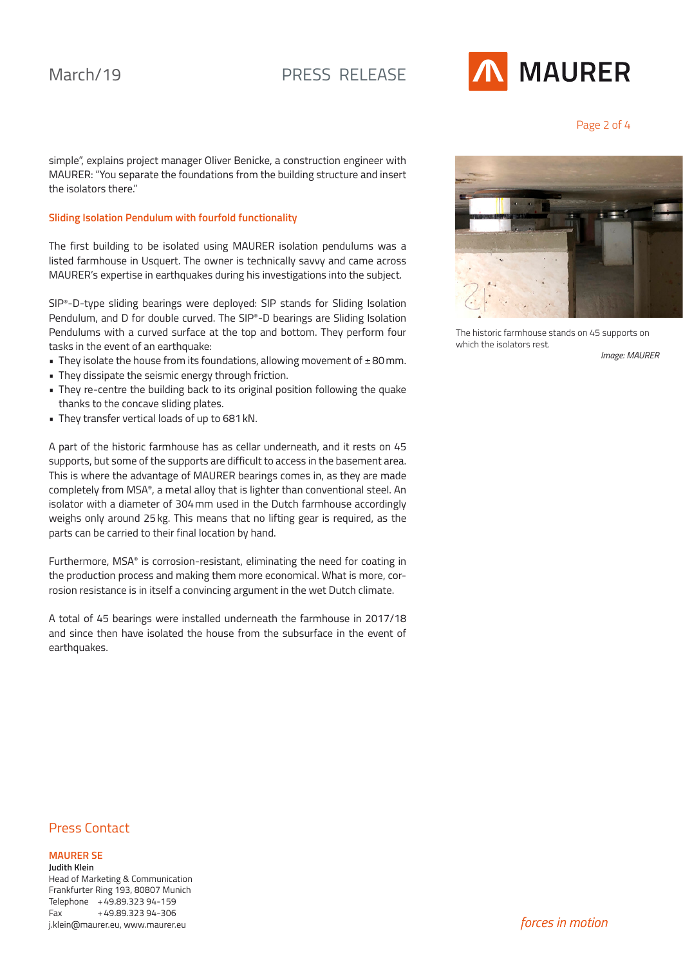

Page 2 of 4

simple", explains project manager Oliver Benicke, a construction engineer with MAURER: "You separate the foundations from the building structure and insert the isolators there."

### **Sliding Isolation Pendulum with fourfold functionality**

The first building to be isolated using MAURER isolation pendulums was a listed farmhouse in Usquert. The owner is technically savvy and came across MAURER's expertise in earthquakes during his investigations into the subject.

SIP®-D-type sliding bearings were deployed: SIP stands for Sliding Isolation Pendulum, and D for double curved. The SIP®-D bearings are Sliding Isolation Pendulums with a curved surface at the top and bottom. They perform four tasks in the event of an earthquake:

- They isolate the house from its foundations, allowing movement of  $\pm 80$  mm.
- They dissipate the seismic energy through friction.
- They re-centre the building back to its original position following the quake thanks to the concave sliding plates.
- They transfer vertical loads of up to 681kN.

A part of the historic farmhouse has as cellar underneath, and it rests on 45 supports, but some of the supports are difficult to access in the basement area. This is where the advantage of MAURER bearings comes in, as they are made completely from MSA®, a metal alloy that is lighter than conventional steel. An isolator with a diameter of 304mm used in the Dutch farmhouse accordingly weighs only around 25kg. This means that no lifting gear is required, as the parts can be carried to their final location by hand.

Furthermore, MSA® is corrosion-resistant, eliminating the need for coating in the production process and making them more economical. What is more, corrosion resistance is in itself a convincing argument in the wet Dutch climate.

A total of 45 bearings were installed underneath the farmhouse in 2017/18 and since then have isolated the house from the subsurface in the event of earthquakes.



The historic farmhouse stands on 45 supports on which the isolators rest.

*Image: MAURER*

# Press Contact

### **MAURER SE**

**Judith Klein** Head of Marketing & Communication Frankfurter Ring 193, 80807 Munich Telephone +49.89.323 94-159 Fax +49.89.323 94-306 j.klein@maurer.eu, www.maurer.eu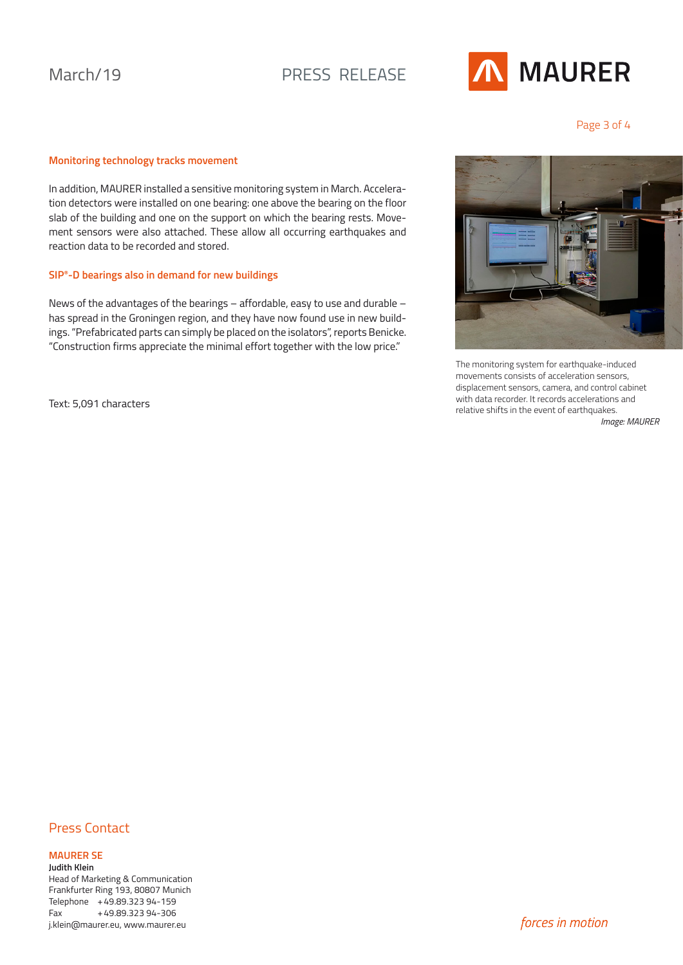# March/19 PRESS RELEASE



Page 3 of 4

### **Monitoring technology tracks movement**

In addition, MAURER installed a sensitive monitoring system in March. Acceleration detectors were installed on one bearing: one above the bearing on the floor slab of the building and one on the support on which the bearing rests. Movement sensors were also attached. These allow all occurring earthquakes and reaction data to be recorded and stored.

### **SIP®-D bearings also in demand for new buildings**

News of the advantages of the bearings – affordable, easy to use and durable – has spread in the Groningen region, and they have now found use in new buildings. "Prefabricated parts can simply be placed on the isolators", reports Benicke. "Construction firms appreciate the minimal effort together with the low price."

Text: 5,091 characters



The monitoring system for earthquake-induced movements consists of acceleration sensors, displacement sensors, camera, and control cabinet with data recorder. It records accelerations and relative shifts in the event of earthquakes.

*Image: MAURER*

# Press Contact

### **MAURER SE**

**Judith Klein** Head of Marketing & Communication Frankfurter Ring 193, 80807 Munich Telephone +49.89.323 94-159 Fax +49.89.323 94-306 j.klein@maurer.eu, www.maurer.eu